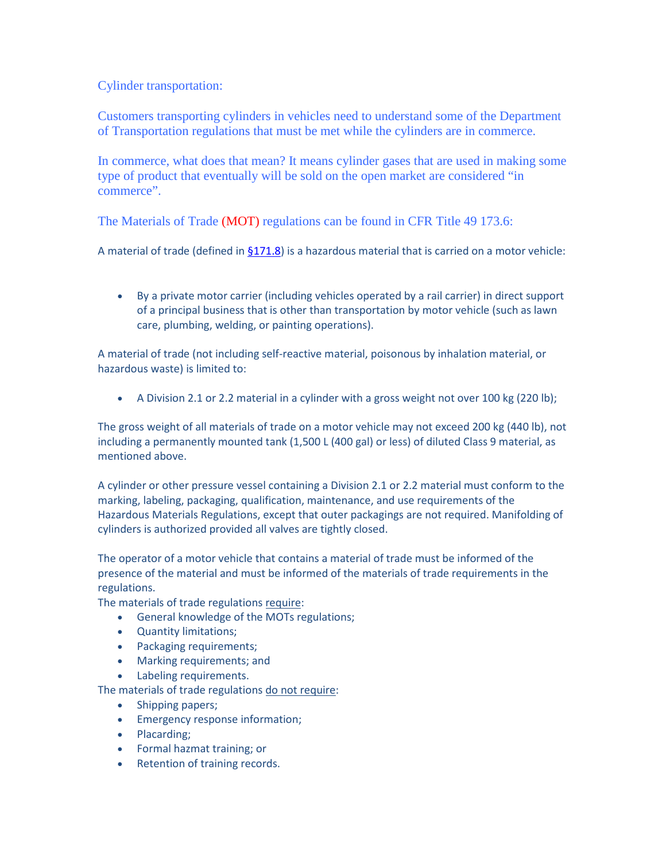## Cylinder transportation:

Customers transporting cylinders in vehicles need to understand some of the Department of Transportation regulations that must be met while the cylinders are in commerce.

 In commerce, what does that mean? It means cylinder gases that are used in making some type of product that eventually will be sold on the open market are considered "in commerce".

The Materials of Trade (MOT) regulations can be found in CFR Title 49 173.6:

A material of trade (defined i[n §171.8\)](https://www.kelleronline.com/Topics/%20%20%20%20%20%20%20%20%20%20%20%20javascript:DoLink() is a hazardous material that is carried on a motor vehicle:

• By a private motor carrier (including vehicles operated by a rail carrier) in direct support of a principal business that is other than transportation by motor vehicle (such as lawn care, plumbing, welding, or painting operations).

 A material of trade (not including self-reactive material, poisonous by inhalation material, or hazardous waste) is limited to:

• A Division 2.1 or 2.2 material in a cylinder with a gross weight not over 100 kg (220 lb);

 The gross weight of all materials of trade on a motor vehicle may not exceed 200 kg (440 lb), not including a permanently mounted tank (1,500 L (400 gal) or less) of diluted Class 9 material, as mentioned above.

 A cylinder or other pressure vessel containing a Division 2.1 or 2.2 material must conform to the Hazardous Materials Regulations, except that outer packagings are not required. Manifolding of cylinders is authorized provided all valves are tightly closed. marking, labeling, packaging, qualification, maintenance, and use requirements of the

The operator of a motor vehicle that contains a material of trade must be informed of the presence of the material and must be informed of the materials of trade requirements in the regulations.

The materials of trade regulations require:

- General knowledge of the MOTs regulations;
- Quantity limitations;
- Packaging requirements;
- Marking requirements; and
- Labeling requirements.

The materials of trade regulations do not require:

- Shipping papers;
- Emergency response information;
- Placarding;
- Formal hazmat training; or
- Retention of training records.